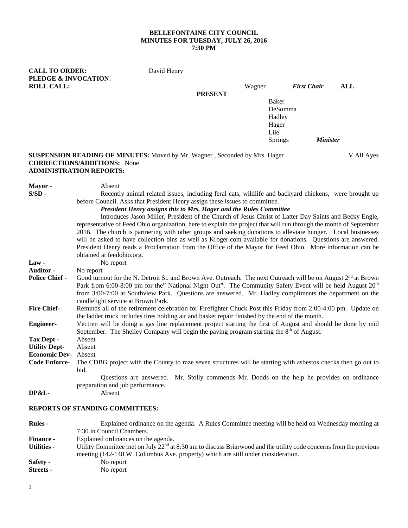## **BELLEFONTAINE CITY COUNCIL MINUTES FOR TUESDAY, JULY 26, 2016 7:30 PM**

| <b>CALL TO ORDER:</b><br>PLEDGE & INVOCATION: |                                                                                                                                                                                                                                                                                                                                                                                                   | David Henry |                |                |                    |            |  |
|-----------------------------------------------|---------------------------------------------------------------------------------------------------------------------------------------------------------------------------------------------------------------------------------------------------------------------------------------------------------------------------------------------------------------------------------------------------|-------------|----------------|----------------|--------------------|------------|--|
| <b>ROLL CALL:</b>                             |                                                                                                                                                                                                                                                                                                                                                                                                   |             |                | Wagner         | <b>First Chair</b> | <b>ALL</b> |  |
|                                               |                                                                                                                                                                                                                                                                                                                                                                                                   |             | <b>PRESENT</b> |                |                    |            |  |
|                                               | Baker                                                                                                                                                                                                                                                                                                                                                                                             |             |                |                |                    |            |  |
|                                               |                                                                                                                                                                                                                                                                                                                                                                                                   | DeSomma     |                |                |                    |            |  |
|                                               |                                                                                                                                                                                                                                                                                                                                                                                                   |             |                | Hadley         |                    |            |  |
|                                               |                                                                                                                                                                                                                                                                                                                                                                                                   |             |                | Hager<br>Lile  |                    |            |  |
|                                               |                                                                                                                                                                                                                                                                                                                                                                                                   |             |                | <b>Springs</b> | <b>Minister</b>    |            |  |
|                                               |                                                                                                                                                                                                                                                                                                                                                                                                   |             |                |                |                    |            |  |
|                                               | <b>SUSPENSION READING OF MINUTES:</b> Moved by Mr. Wagner, Seconded by Mrs. Hager<br><b>CORRECTIONS/ADDITIONS:</b> None<br><b>ADMINISTRATION REPORTS:</b>                                                                                                                                                                                                                                         |             |                |                |                    | V All Ayes |  |
| Mayor -                                       | Absent                                                                                                                                                                                                                                                                                                                                                                                            |             |                |                |                    |            |  |
| $S/SD -$                                      | Recently animal related issues, including feral cats, wildlife and backyard chickens, were brought up                                                                                                                                                                                                                                                                                             |             |                |                |                    |            |  |
|                                               | before Council. Asks that President Henry assign these issues to committee.                                                                                                                                                                                                                                                                                                                       |             |                |                |                    |            |  |
|                                               | President Henry assigns this to Mrs. Hager and the Rules Committee                                                                                                                                                                                                                                                                                                                                |             |                |                |                    |            |  |
|                                               | Introduces Jason Miller, President of the Church of Jesus Christ of Latter Day Saints and Becky Engle,                                                                                                                                                                                                                                                                                            |             |                |                |                    |            |  |
|                                               | representative of Feed Ohio organization, here to explain the project that will run through the month of September                                                                                                                                                                                                                                                                                |             |                |                |                    |            |  |
|                                               | 2016. The church is partnering with other groups and seeking donations to alleviate hunger. Local businesses<br>will be asked to have collection bins as well as Kroger.com available for donations. Questions are answered.                                                                                                                                                                      |             |                |                |                    |            |  |
|                                               | President Henry reads a Proclamation from the Office of the Mayor for Feed Ohio. More information can be                                                                                                                                                                                                                                                                                          |             |                |                |                    |            |  |
|                                               | obtained at feedohio.org.                                                                                                                                                                                                                                                                                                                                                                         |             |                |                |                    |            |  |
| $Law -$                                       | No report                                                                                                                                                                                                                                                                                                                                                                                         |             |                |                |                    |            |  |
| <b>Auditor -</b>                              | No report                                                                                                                                                                                                                                                                                                                                                                                         |             |                |                |                    |            |  |
| <b>Police Chief -</b>                         | Good turnout for the N. Detroit St. and Brown Ave. Outreach. The next Outreach will be on August 2 <sup>nd</sup> at Brown<br>Park from 6:00-8:00 pm for the" National Night Out". The Community Safety Event will be held August 20 <sup>th</sup><br>from 3:00-7:00 at Southview Park. Questions are answered. Mr. Hadley compliments the department on the<br>candlelight service at Brown Park. |             |                |                |                    |            |  |
| <b>Fire Chief-</b>                            | Reminds all of the retirement celebration for Firefighter Chuck Post this Friday from 2:00-4:00 pm. Update on                                                                                                                                                                                                                                                                                     |             |                |                |                    |            |  |
|                                               | the ladder truck includes tires holding air and basket repair finished by the end of the month.                                                                                                                                                                                                                                                                                                   |             |                |                |                    |            |  |
| <b>Engineer-</b>                              | Vectren will be doing a gas line replacement project starting the first of August and should be done by mid<br>September. The Shelley Company will begin the paving program starting the 8 <sup>th</sup> of August.                                                                                                                                                                               |             |                |                |                    |            |  |
| <b>Tax Dept -</b>                             | Absent                                                                                                                                                                                                                                                                                                                                                                                            |             |                |                |                    |            |  |
| <b>Utility Dept-</b>                          | Absent                                                                                                                                                                                                                                                                                                                                                                                            |             |                |                |                    |            |  |
| <b>Economic Dev-</b> Absent                   |                                                                                                                                                                                                                                                                                                                                                                                                   |             |                |                |                    |            |  |
| <b>Code Enforce-</b>                          | The CDBG project with the County to raze seven structures will be starting with asbestos checks then go out to                                                                                                                                                                                                                                                                                    |             |                |                |                    |            |  |
|                                               | bid.<br>Questions are answered. Mr. Stolly commends Mr. Dodds on the help he provides on ordinance                                                                                                                                                                                                                                                                                                |             |                |                |                    |            |  |
|                                               |                                                                                                                                                                                                                                                                                                                                                                                                   |             |                |                |                    |            |  |
| DP&L-                                         | preparation and job performance.<br>Absent                                                                                                                                                                                                                                                                                                                                                        |             |                |                |                    |            |  |
|                                               |                                                                                                                                                                                                                                                                                                                                                                                                   |             |                |                |                    |            |  |

# **REPORTS OF STANDING COMMITTEES:**

| <b>Rules</b> -     | Explained ordinance on the agenda. A Rules Committee meeting will be held on Wednesday morning at                    |  |  |  |  |  |
|--------------------|----------------------------------------------------------------------------------------------------------------------|--|--|--|--|--|
|                    | 7:30 in Council Chambers.                                                                                            |  |  |  |  |  |
| <b>Finance -</b>   | Explained ordinances on the agenda.                                                                                  |  |  |  |  |  |
| <b>Utilities -</b> | Utility Committee met on July $22nd$ at 8:30 am to discuss Briarwood and the utility code concerns from the previous |  |  |  |  |  |
|                    | meeting (142-148 W. Columbus Ave. property) which are still under consideration.                                     |  |  |  |  |  |
| Safety -           | No report                                                                                                            |  |  |  |  |  |
| <b>Streets</b> -   | No report                                                                                                            |  |  |  |  |  |